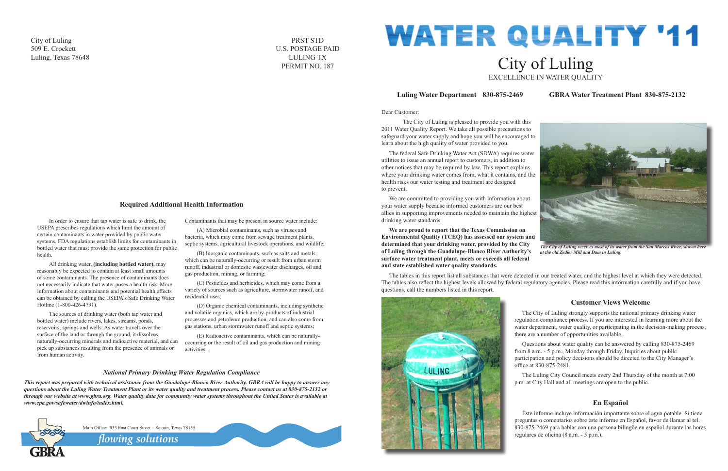#### Dear Customer:

 The City of Luling is pleased to provide you with this 2011 Water Quality Report. We take all possible precautions to safeguard your water supply and hope you will be encouraged to learn about the high quality of water provided to you.

The federal Safe Drinking Water Act (SDWA) requires water utilities to issue an annual report to customers, in addition to other notices that may be required by law. This report explains where your drinking water comes from, what it contains, and the health risks our water testing and treatment are designed to prevent.

We are committed to providing you with information about your water supply because informed customers are our best allies in supporting improvements needed to maintain the highest drinking water standards.

# **WATER QUALITY '11** City of Luling EXCELLENCE IN WATER QUALITY

**We are proud to report that the Texas Commission on Environmental Quality (TCEQ) has assessed our system and determined that your drinking water, provided by the City of Luling through the Guadalupe-Blanco River Authority's surface water treatment plant, meets or exceeds all federal and state established water quality standards.**

The tables in this report list all substances that were detected in our treated water, and the highest level at which they were detected. The tables also reflect the highest levels allowed by federal regulatory agencies. Please read this information carefully and if you have questions, call the numbers listed in this report.



# **Luling Water Department 830-875-2469 GBRA Water Treatment Plant 830-875-2132**

# **Customer Views Welcome**

The City of Luling strongly supports the national primary drinking water regulation compliance process. If you are interested in learning more about the water department, water quality, or participating in the decision-making process, there are a number of opportunities available.

Questions about water quality can be answered by calling 830-875-2469 from 8 a.m. - 5 p.m., Monday through Friday. Inquiries about public participation and policy decisions should be directed to the City Manager's office at 830-875-2481.

The Luling City Council meets every 2nd Thursday of the month at 7:00 p.m. at City Hall and all meetings are open to the public.

# **En Español**

Éste informe incluye información importante sobre el agua potable. Si tiene preguntas o comentarios sobre éste informe en Español, favor de llamar al tel. 830-875-2469 para hablar con una persona bilingüe en español durante las horas regulares de oficina (8 a.m. - 5 p.m.).



*The City of Luling receives most of its water from the San Marcos River, shown here at the old Zedler Mill and Dam in Luling.*

In order to ensure that tap water is safe to drink, the USEPA prescribes regulations which limit the amount of certain contaminants in water provided by public water systems. FDA regulations establish limits for contaminants in bottled water that must provide the same protection for public health.

All drinking water, **(including bottled water)**, may reasonably be expected to contain at least small amounts of some contaminants. The presence of contaminants does not necessarily indicate that water poses a health risk. More information about contaminants and potential health effects can be obtained by calling the USEPA's Safe Drinking Water Hotline (1-800-426-4791).

The sources of drinking water (both tap water and bottled water) include rivers, lakes, streams, ponds, reservoirs, springs and wells. As water travels over the surface of the land or through the ground, it dissolves naturally-occurring minerals and radioactive material, and can pick up substances resulting from the presence of animals or from human activity.

Contaminants that may be present in source water include:

(A) Microbial contaminants, such as viruses and bacteria, which may come from sewage treatment plants, septic systems, agricultural livestock operations, and wildlife;

(B) Inorganic contaminants, such as salts and metals, which can be naturally-occurring or result from urban storm runoff, industrial or domestic wastewater discharges, oil and gas production, mining, or farming;

(C) Pesticides and herbicides, which may come from a variety of sources such as agriculture, stormwater runoff, and residential uses;

(D) Organic chemical contaminants, including synthetic and volatile organics, which are by-products of industrial processes and petroleum production, and can also come from gas stations, urban stormwater runoff and septic systems;

(E) Radioactive contaminants, which can be naturallyoccurring or the result of oil and gas production and mining activities.

# **Required Additional Health Information**

## *National Primary Drinking Water Regulation Compliance*

*This report was prepared with technical assistance from the Guadalupe-Blanco River Authority. GBRA will be happy to answer any questions about the Luling Water Treatment Plant or its water quality and treatment process. Please contact us at 830-875-2132 or through our website at www.gbra.org. Water quality data for community water systems throughout the United States is available at www.epa.gov/safewater/dwinfo/index.html.*



Main Office: 933 East Court Street ~ Seguin, Texas 78155

*flowing solutions*



City of Luling 509 E. Crockett Luling, Texas 78648

PRST STD U.S. POSTAGE PAID LULING TX PERMIT NO. 187